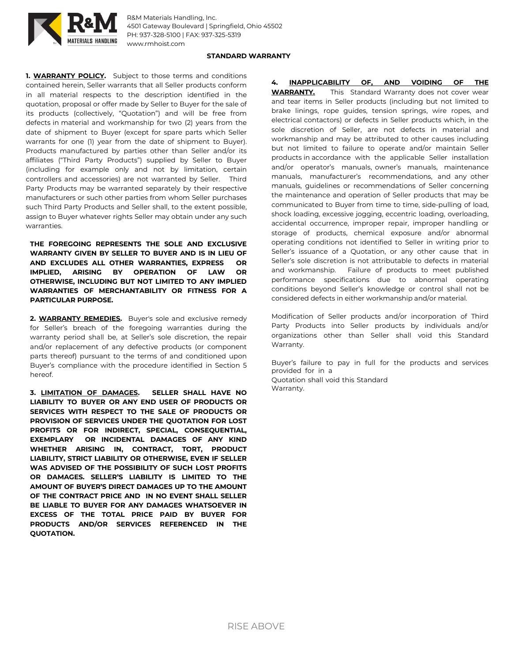

R&M Materials Handling, Inc. 4501 Gateway Boulevard | Springfield, Ohio 45502 PH: 937-328-5100 | FAX: 937-325-5319 www.rmhoist.com

## **STANDARD WARRANTY**

**1. WARRANTY POLICY.** Subject to those terms and conditions contained herein, Seller warrants that all Seller products conform in all material respects to the description identified in the quotation, proposal or offer made by Seller to Buyer for the sale of its products (collectively, "Quotation") and will be free from defects in material and workmanship for two (2) years from the date of shipment to Buyer (except for spare parts which Seller warrants for one (1) year from the date of shipment to Buyer). Products manufactured by parties other than Seller and/or its affiliates ("Third Party Products") supplied by Seller to Buyer (including for example only and not by limitation, certain controllers and accessories) are not warranted by Seller. Third Party Products may be warranted separately by their respective manufacturers or such other parties from whom Seller purchases such Third Party Products and Seller shall, to the extent possible, assign to Buyer whatever rights Seller may obtain under any such warranties.

**THE FOREGOING REPRESENTS THE SOLE AND EXCLUSIVE WARRANTY GIVEN BY SELLER TO BUYER AND IS IN LIEU OF AND EXCLUDES ALL OTHER WARRANTIES, EXPRESS OR IMPLIED, ARISING BY OPERATION OF LAW OR OTHERWISE, INCLUDING BUT NOT LIMITED TO ANY IMPLIED WARRANTIES OF MERCHANTABILITY OR FITNESS FOR A PARTICULAR PURPOSE.**

**2. WARRANTY REMEDIES.** Buyer's sole and exclusive remedy for Seller's breach of the foregoing warranties during the warranty period shall be, at Seller's sole discretion, the repair and/or replacement of any defective products (or component parts thereof) pursuant to the terms of and conditioned upon Buyer's compliance with the procedure identified in Section 5 hereof.

**3. LIMITATION OF DAMAGES. SELLER SHALL HAVE NO LIABILITY TO BUYER OR ANY END USER OF PRODUCTS OR SERVICES WITH RESPECT TO THE SALE OF PRODUCTS OR PROVISION OF SERVICES UNDER THE QUOTATION FOR LOST PROFITS OR FOR INDIRECT, SPECIAL, CONSEQUENTIAL, EXEMPLARY OR INCIDENTAL DAMAGES OF ANY KIND WHETHER ARISING IN, CONTRACT, TORT, PRODUCT LIABILITY, STRICT LIABILITY OR OTHERWISE, EVEN IF SELLER WAS ADVISED OF THE POSSIBILITY OF SUCH LOST PROFITS OR DAMAGES. SELLER'S LIABILITY IS LIMITED TO THE AMOUNT OF BUYER'S DIRECT DAMAGES UP TO THE AMOUNT OF THE CONTRACT PRICE AND IN NO EVENT SHALL SELLER BE LIABLE TO BUYER FOR ANY DAMAGES WHATSOEVER IN EXCESS OF THE TOTAL PRICE PAID BY BUYER FOR PRODUCTS AND/OR SERVICES REFERENCED IN THE QUOTATION.**

**4. INAPPLICABILITY OF, AND VOIDING OF THE WARRANTY.** This Standard Warranty does not cover wear and tear items in Seller products (including but not limited to brake linings, rope guides, tension springs, wire ropes, and electrical contactors) or defects in Seller products which, in the sole discretion of Seller, are not defects in material and workmanship and may be attributed to other causes including but not limited to failure to operate and/or maintain Seller products in accordance with the applicable Seller installation and/or operator's manuals, owner's manuals, maintenance manuals, manufacturer's recommendations, and any other manuals, guidelines or recommendations of Seller concerning the maintenance and operation of Seller products that may be communicated to Buyer from time to time, side-pulling of load, shock loading, excessive jogging, eccentric loading, overloading, accidental occurrence, improper repair, improper handling or storage of products, chemical exposure and/or abnormal operating conditions not identified to Seller in writing prior to Seller's issuance of a Quotation, or any other cause that in Seller's sole discretion is not attributable to defects in material and workmanship. Failure of products to meet published performance specifications due to abnormal operating conditions beyond Seller's knowledge or control shall not be considered defects in either workmanship and/or material.

Modification of Seller products and/or incorporation of Third Party Products into Seller products by individuals and/or organizations other than Seller shall void this Standard Warranty.

Buyer's failure to pay in full for the products and services provided for in a Quotation shall void this Standard

Warranty.